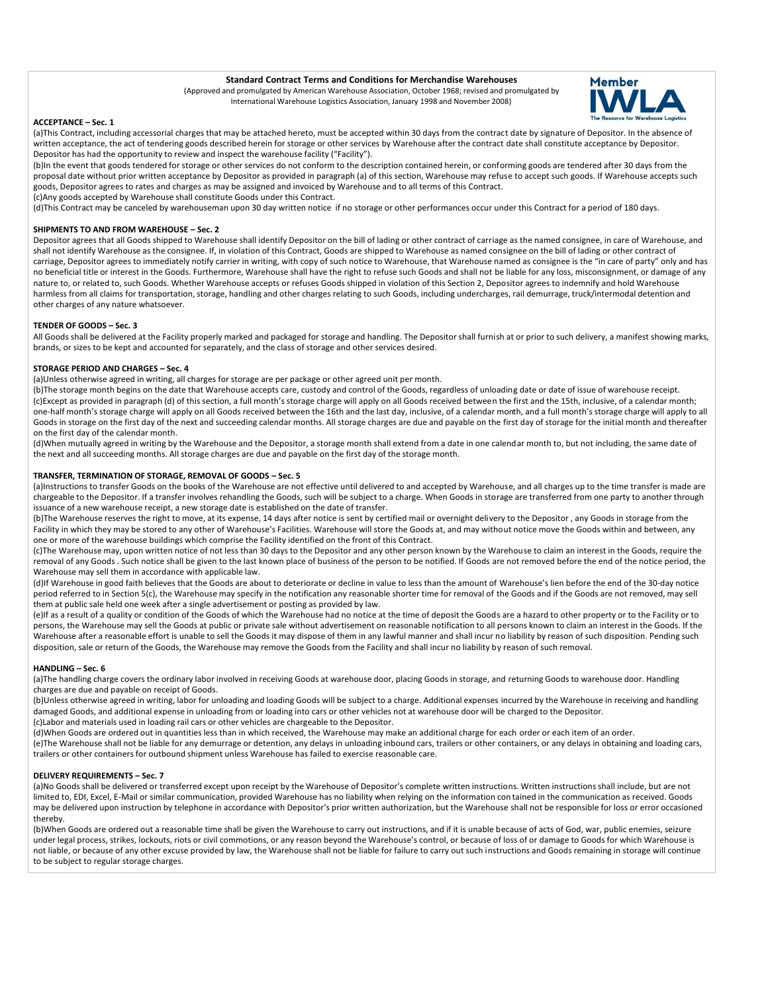# **Standard Contract Terms and Conditions for Merchandise Warehouses**

(Approved and promulgated by American Warehouse Association, October 1968; revised and promulgated by International Warehouse Logistics Association, January 1998 and November 2008)



# **ACCEPTANCE – Sec. 1**

(a)This Contract, including accessorial charges that may be attached hereto, must be accepted within 30 days from the contract date by signature of Depositor. In the absence of written acceptance, the act of tendering goods described herein for storage or other services by Warehouse after the contract date shall constitute acceptance by Depositor. Depositor has had the opportunity to review and inspect the warehouse facility ("Facility").

(b)In the event that goods tendered for storage or other services do not conform to the description contained herein, or conforming goods are tendered after 30 days from the proposal date without prior written acceptance by Depositor as provided in paragraph (a) of this section, Warehouse may refuse to accept such goods. If Warehouse accepts such goods, Depositor agrees to rates and charges as may be assigned and invoiced by Warehouse and to all terms of this Contract. (c)Any goods accepted by Warehouse shall constitute Goods under this Contract.

(d)This Contract may be canceled by warehouseman upon 30 day written notice if no storage or other performances occur under this Contract for a period of 180 days.

# **SHIPMENTS TO AND FROM WAREHOUSE – Sec. 2**

Depositor agrees that all Goods shipped to Warehouse shall identify Depositor on the bill of lading or other contract of carriage as the named consignee, in care of Warehouse, and shall not identify Warehouse as the consignee. If, in violation of this Contract, Goods are shipped to Warehouse as named consignee on the bill of lading or other contract of carriage, Depositor agrees to immediately notify carrier in writing, with copy of such notice to Warehouse, that Warehouse named as consignee is the "in care of party" only and has no beneficial title or interest in the Goods. Furthermore, Warehouse shall have the right to refuse such Goods and shall not be liable for any loss, misconsignment, or damage of any nature to, or related to, such Goods. Whether Warehouse accepts or refuses Goods shipped in violation of this Section 2, Depositor agrees to indemnify and hold Warehouse harmless from all claims for transportation, storage, handling and other charges relating to such Goods, including undercharges, rail demurrage, truck/intermodal detention and other charges of any nature whatsoever.

# **TENDER OF GOODS – Sec. 3**

All Goods shall be delivered at the Facility properly marked and packaged for storage and handling. The Depositor shall furnish at or prior to such delivery, a manifest showing marks, brands, or sizes to be kept and accounted for separately, and the class of storage and other services desired.

### **STORAGE PERIOD AND CHARGES – Sec. 4**

(a)Unless otherwise agreed in writing, all charges for storage are per package or other agreed unit per month.

(b)The storage month begins on the date that Warehouse accepts care, custody and control of the Goods, regardless of unloading date or date of issue of warehouse receipt. (c)Except as provided in paragraph (d) of this section, a full month's storage charge will apply on all Goods received between the first and the 15th, inclusive, of a calendar month; one-half month's storage charge will apply on all Goods received between the 16th and the last day, inclusive, of a calendar month, and a full month's storage charge will apply to all Goods in storage on the first day of the next and succeeding calendar months. All storage charges are due and payable on the first day of storage for the initial month and thereafter on the first day of the calendar month.

(d)When mutually agreed in writing by the Warehouse and the Depositor, a storage month shall extend from a date in one calendar month to, but not including, the same date of the next and all succeeding months. All storage charges are due and payable on the first day of the storage month.

### **TRANSFER, TERMINATION OF STORAGE, REMOVAL OF GOODS – Sec. 5**

(a)Instructions to transfer Goods on the books of the Warehouse are not effective until delivered to and accepted by Warehouse, and all charges up to the time transfer is made are chargeable to the Depositor. If a transfer involves rehandling the Goods, such will be subject to a charge. When Goods in storage are transferred from one party to another through issuance of a new warehouse receipt, a new storage date is established on the date of transfer.

(b)The Warehouse reserves the right to move, at its expense, 14 days after notice is sent by certified mail or overnight delivery to the Depositor , any Goods in storage from the Facility in which they may be stored to any other of Warehouse's Facilities. Warehouse will store the Goods at, and may without notice move the Goods within and between, any one or more of the warehouse buildings which comprise the Facility identified on the front of this Contract.

(c)The Warehouse may, upon written notice of not less than 30 days to the Depositor and any other person known by the Warehouse to claim an interest in the Goods, require the removal of any Goods. Such notice shall be given to the last known place of business of the person to be notified. If Goods are not removed before the end of the notice period, the Warehouse may sell them in accordance with applicable law.

(d)If Warehouse in good faith believes that the Goods are about to deteriorate or decline in value to less than the amount of Warehouse's lien before the end of the 30-day notice period referred to in Section 5(c), the Warehouse may specify in the notification any reasonable shorter time for removal of the Goods and if the Goods are not removed, may sell them at public sale held one week after a single advertisement or posting as provided by law.

(e)If as a result of a quality or condition of the Goods of which the Warehouse had no notice at the time of deposit the Goods are a hazard to other property or to the Facility or to persons, the Warehouse may sell the Goods at public or private sale without advertisement on reasonable notification to all persons known to claim an interest in the Goods. If the Warehouse after a reasonable effort is unable to sell the Goods it may dispose of them in any lawful manner and shall incur no liability by reason of such disposition. Pending such disposition, sale or return of the Goods, the Warehouse may remove the Goods from the Facility and shall incur no liability by reason of such removal.

### **HANDLING – Sec. 6**

(a)The handling charge covers the ordinary labor involved in receiving Goods at warehouse door, placing Goods in storage, and returning Goods to warehouse door. Handling charges are due and payable on receipt of Goods.

(b)Unless otherwise agreed in writing, labor for unloading and loading Goods will be subject to a charge. Additional expenses incurred by the Warehouse in receiving and handling damaged Goods, and additional expense in unloading from or loading into cars or other vehicles not at warehouse door will be charged to the Depositor. (c)Labor and materials used in loading rail cars or other vehicles are chargeable to the Depositor.

(d)When Goods are ordered out in quantities less than in which received, the Warehouse may make an additional charge for each order or each item of an order.

(e)The Warehouse shall not be liable for any demurrage or detention, any delays in unloading inbound cars, trailers or other containers, or any delays in obtaining and loading cars, trailers or other containers for outbound shipment unless Warehouse has failed to exercise reasonable care.

# **DELIVERY REQUIREMENTS – Sec. 7**

(a)No Goods shall be delivered or transferred except upon receipt by the Warehouse of Depositor's complete written instructions. Written instructions shall include, but are not limited to, EDI, Excel, E-Mail or similar communication, provided Warehouse has no liability when relying on the information con tained in the communication as received. Goods may be delivered upon instruction by telephone in accordance with Depositor's prior written authorization, but the Warehouse shall not be responsible for loss or error occasioned thereby.

(b)When Goods are ordered out a reasonable time shall be given the Warehouse to carry out instructions, and if it is unable because of acts of God, war, public enemies, seizure under legal process, strikes, lockouts, riots or civil commotions, or any reason beyond the Warehouse's control, or because of loss of or damage to Goods for which Warehouse is not liable, or because of any other excuse provided by law, the Warehouse shall not be liable for failure to carry out such instructions and Goods remaining in storage will continue to be subject to regular storage charges.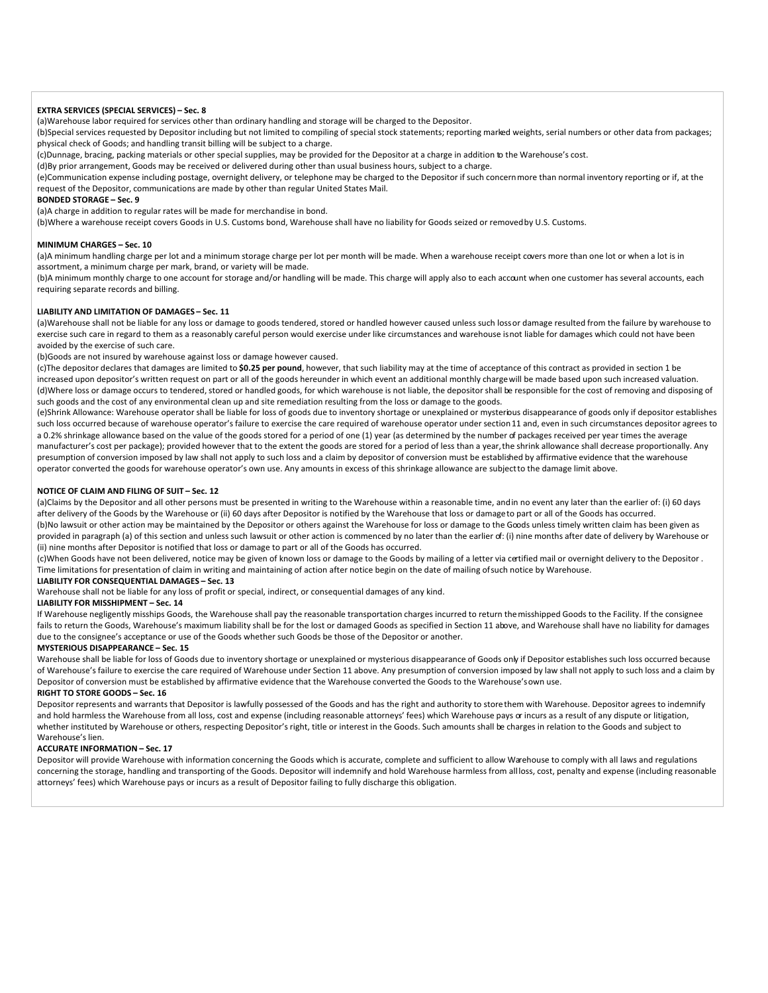# **EXTRA SERVICES (SPECIAL SERVICES) – Sec. 8**

(a)Warehouse labor required for services other than ordinary handling and storage will be charged to the Depositor.

(b)Special services requested by Depositor including but not limited to compiling of special stock statements; reporting marked weights, serial numbers or other data from packages; physical check of Goods; and handling transit billing will be subject to a charge.

(c)Dunnage, bracing, packing materials or other special supplies, may be provided for the Depositor at a charge in addition to the Warehouse's cost.

(d)By prior arrangement, Goods may be received or delivered during other than usual business hours, subject to a charge.

(e)Communication expense including postage, overnight delivery, or telephone may be charged to the Depositor if such concern more than normal inventory reporting or if, at the request of the Depositor, communications are made by other than regular United States Mail.

### **BONDED STORAGE – Sec. 9**

(a)A charge in addition to regular rates will be made for merchandise in bond.

(b)Where a warehouse receipt covers Goods in U.S. Customs bond, Warehouse shall have no liability for Goods seized or removedby U.S. Customs.

### **MINIMUM CHARGES – Sec. 10**

(a)A minimum handling charge per lot and a minimum storage charge per lot per month will be made. When a warehouse receipt covers more than one lot or when a lot is in assortment, a minimum charge per mark, brand, or variety will be made.

(b)A minimum monthly charge to one account for storage and/or handling will be made. This charge will apply also to each account when one customer has several accounts, each requiring separate records and billing.

# **LIABILITY AND LIMITATION OF DAMAGES – Sec. 11**

(a)Warehouse shall not be liable for any loss or damage to goods tendered, stored or handled however caused unless such loss or damage resulted from the failure by warehouse to exercise such care in regard to them as a reasonably careful person would exercise under like circumstances and warehouse isnot liable for damages which could not have been avoided by the exercise of such care.

(b)Goods are not insured by warehouse against loss or damage however caused.

(c)The depositor declares that damages are limited to **\$0.25 per pound**, however, that such liability may at the time of acceptance of this contract as provided in section 1 be increased upon depositor's written request on part or all of the goods hereunder in which event an additional monthly charge will be made based upon such increased valuation. (d)Where loss or damage occurs to tendered, stored or handled goods, for which warehouse is not liable, the depositor shall be responsible for the cost of removing and disposing of such goods and the cost of any environmental clean up and site remediation resulting from the loss or damage to the goods.

(e)Shrink Allowance: Warehouse operator shall be liable for loss of goods due to inventory shortage or unexplained or mysterious disappearance of goods only if depositor establishes such loss occurred because of warehouse operator's failure to exercise the care required of warehouse operator under section 11 and, even in such circumstances depositor agrees to a 0.2% shrinkage allowance based on the value of the goods stored for a period of one (1) year (as determined by the number of packages received per year times the average manufacturer's cost per package); provided however that to the extent the goods are stored for a period of less than a year, the shrink allowance shall decrease proportionally. Any presumption of conversion imposed by law shall not apply to such loss and a claim by depositor of conversion must be established by affirmative evidence that the warehouse operator converted the goods for warehouse operator's own use. Any amounts in excess of this shrinkage allowance are subject to the damage limit above.

# **NOTICE OF CLAIM AND FILING OF SUIT - Sec. 12**

(a)Claims by the Depositor and all other persons must be presented in writing to the Warehouse within a reasonable time, and in no event any later than the earlier of: (i) 60 days after delivery of the Goods by the Warehouse or (ii) 60 days after Depositor is notified by the Warehouse that loss or damageto part or all of the Goods has occurred. (b)No lawsuit or other action may be maintained by the Depositor or others against the Warehouse for loss or damage to the Goods unless timely written claim has been given as provided in paragraph (a) of this section and unless such lawsuit or other action is commenced by no later than the earlier of: (i) nine months after date of delivery by Warehouse or (ii) nine months after Depositor is notified that loss or damage to part or all of the Goods has occurred.

(c)When Goods have not been delivered, notice may be given of known loss or damage to the Goods by mailing of a letter via certified mail or overnight delivery to the Depositor . Time limitations for presentation of claim in writing and maintaining of action after notice begin on the date of mailing of such notice by Warehouse.

**LIABILITY FOR CONSEQUENTIAL DAMAGES – Sec. 13** Warehouse shall not be liable for any loss of profit or special, indirect, or consequential damages of any kind.

#### **LIABILITY FOR MISSHIPMENT – Sec. 14**

If Warehouse negligently misships Goods, the Warehouse shall pay the reasonable transportation charges incurred to return themisshipped Goods to the Facility. If the consignee fails to return the Goods, Warehouse's maximum liability shall be for the lost or damaged Goods as specified in Section 11 above, and Warehouse shall have no liability for damages due to the consignee's acceptance or use of the Goods whether such Goods be those of the Depositor or another.

# **MYSTERIOUS DISAPPEARANCE – Sec. 15**

Warehouse shall be liable for loss of Goods due to inventory shortage or unexplained or mysterious disappearance of Goods only if Depositor establishes such loss occurred because of Warehouse's failure to exercise the care required of Warehouse under Section 11 above. Any presumption of conversion imposed by law shall not apply to such loss and a claim by Depositor of conversion must be established by affirmative evidence that the Warehouse converted the Goods to the Warehouse'sown use.

# **RIGHT TO STORE GOODS – Sec. 16**

Depositor represents and warrants that Depositor is lawfully possessed of the Goods and has the right and authority to store them with Warehouse. Depositor agrees to indemnify and hold harmless the Warehouse from all loss, cost and expense (including reasonable attorneys' fees) which Warehouse pays or incurs as a result of any dispute or litigation, whether instituted by Warehouse or others, respecting Depositor's right, title or interest in the Goods. Such amounts shall be charges in relation to the Goods and subject to Warehouse's lien.

# **ACCURATE INFORMATION – Sec. 17**

Depositor will provide Warehouse with information concerning the Goods which is accurate, complete and sufficient to allow Warehouse to comply with all laws and regulations concerning the storage, handling and transporting of the Goods. Depositor will indemnify and hold Warehouse harmless from allloss, cost, penalty and expense (including reasonable attorneys' fees) which Warehouse pays or incurs as a result of Depositor failing to fully discharge this obligation.